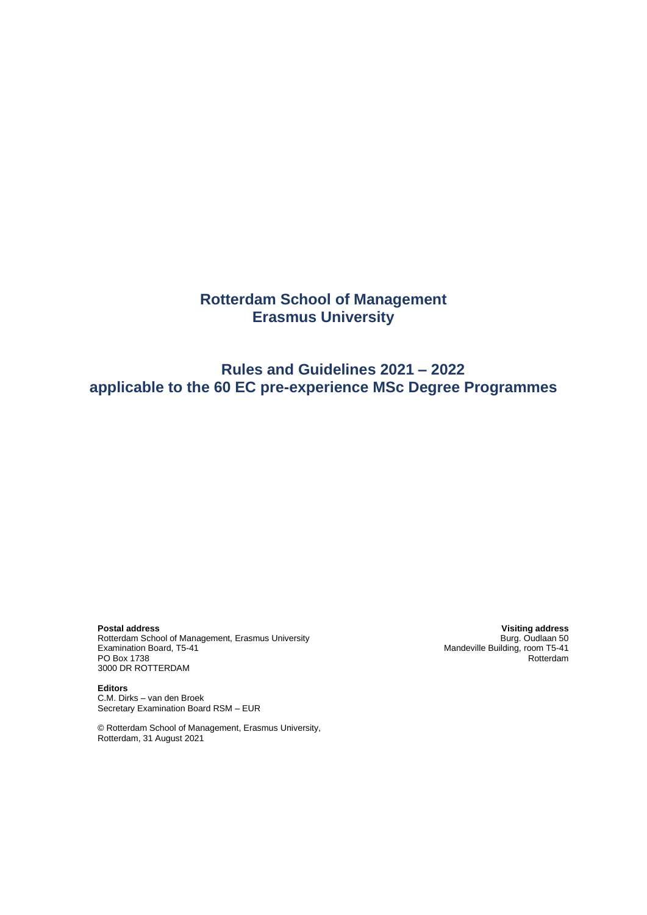# **Rotterdam School of Management Erasmus University**

# **Rules and Guidelines 2021 – 2022 applicable to the 60 EC pre-experience MSc Degree Programmes**

**Postal address Visiting address** Rotterdam School of Management, Erasmus University<br>Examination Board, T5-41 PO Box 1738 3000 DR ROTTERDAM

**Editors** C.M. Dirks – van den Broek Secretary Examination Board RSM – EUR

© Rotterdam School of Management, Erasmus University, Rotterdam, 31 August 2021

Examing address<br>Burg. Oudlaan 50<br>Mandeville Building, room T5-41<br>Rotterdam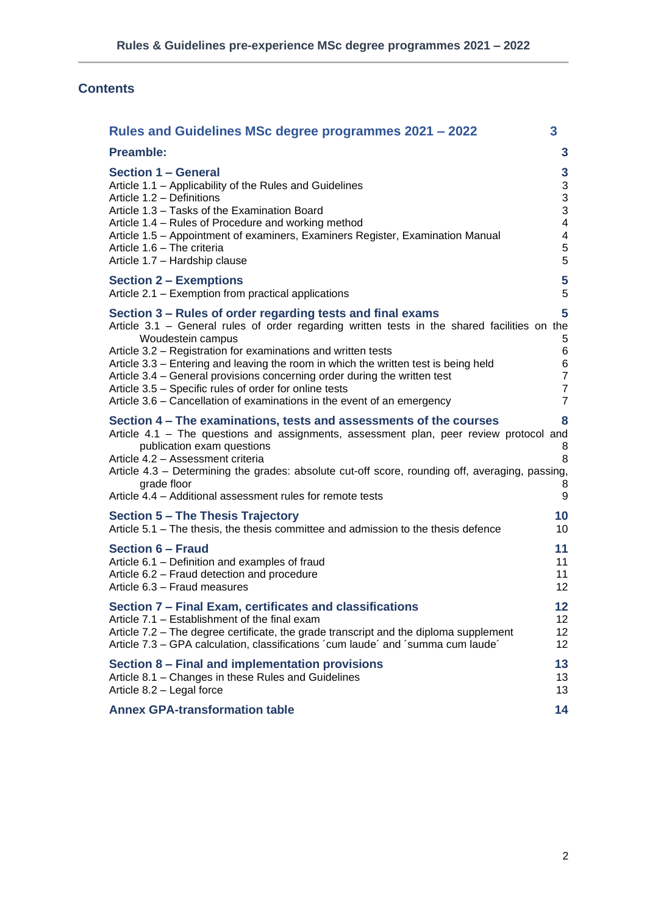# **Contents**

| Rules and Guidelines MSc degree programmes 2021 – 2022                                                                                                                                                                                                                                                                                                                                                                                                                                                                                                    | 3                                                                      |
|-----------------------------------------------------------------------------------------------------------------------------------------------------------------------------------------------------------------------------------------------------------------------------------------------------------------------------------------------------------------------------------------------------------------------------------------------------------------------------------------------------------------------------------------------------------|------------------------------------------------------------------------|
| <b>Preamble:</b>                                                                                                                                                                                                                                                                                                                                                                                                                                                                                                                                          | 3                                                                      |
| <b>Section 1 - General</b>                                                                                                                                                                                                                                                                                                                                                                                                                                                                                                                                | $\mathbf{3}$                                                           |
| Article 1.1 - Applicability of the Rules and Guidelines                                                                                                                                                                                                                                                                                                                                                                                                                                                                                                   | $\mathfrak{S}$                                                         |
| Article 1.2 - Definitions                                                                                                                                                                                                                                                                                                                                                                                                                                                                                                                                 | 3                                                                      |
| Article 1.3 - Tasks of the Examination Board                                                                                                                                                                                                                                                                                                                                                                                                                                                                                                              | 3                                                                      |
| Article 1.4 – Rules of Procedure and working method                                                                                                                                                                                                                                                                                                                                                                                                                                                                                                       | $\overline{\mathcal{A}}$                                               |
| Article 1.5 - Appointment of examiners, Examiners Register, Examination Manual                                                                                                                                                                                                                                                                                                                                                                                                                                                                            | 4                                                                      |
| Article 1.6 - The criteria                                                                                                                                                                                                                                                                                                                                                                                                                                                                                                                                | $\,$ 5 $\,$                                                            |
| Article 1.7 - Hardship clause                                                                                                                                                                                                                                                                                                                                                                                                                                                                                                                             | 5                                                                      |
| <b>Section 2 – Exemptions</b>                                                                                                                                                                                                                                                                                                                                                                                                                                                                                                                             | 5                                                                      |
| Article 2.1 – Exemption from practical applications                                                                                                                                                                                                                                                                                                                                                                                                                                                                                                       | 5                                                                      |
| Section 3 – Rules of order regarding tests and final exams<br>Article 3.1 - General rules of order regarding written tests in the shared facilities on the<br>Woudestein campus<br>Article 3.2 - Registration for examinations and written tests<br>Article 3.3 – Entering and leaving the room in which the written test is being held<br>Article 3.4 – General provisions concerning order during the written test<br>Article 3.5 - Specific rules of order for online tests<br>Article 3.6 - Cancellation of examinations in the event of an emergency | 5<br>5<br>6<br>6<br>$\overline{7}$<br>$\overline{7}$<br>$\overline{7}$ |
| Section 4 – The examinations, tests and assessments of the courses<br>Article 4.1 - The questions and assignments, assessment plan, peer review protocol and<br>publication exam questions<br>Article 4.2 - Assessment criteria<br>Article 4.3 - Determining the grades: absolute cut-off score, rounding off, averaging, passing,<br>grade floor<br>Article 4.4 - Additional assessment rules for remote tests                                                                                                                                           | 8<br>8<br>8<br>8<br>9                                                  |
| <b>Section 5 – The Thesis Trajectory</b>                                                                                                                                                                                                                                                                                                                                                                                                                                                                                                                  | 10                                                                     |
| Article 5.1 - The thesis, the thesis committee and admission to the thesis defence                                                                                                                                                                                                                                                                                                                                                                                                                                                                        | 10                                                                     |
| <b>Section 6 - Fraud</b>                                                                                                                                                                                                                                                                                                                                                                                                                                                                                                                                  | 11                                                                     |
| Article 6.1 - Definition and examples of fraud                                                                                                                                                                                                                                                                                                                                                                                                                                                                                                            | 11                                                                     |
| Article 6.2 - Fraud detection and procedure                                                                                                                                                                                                                                                                                                                                                                                                                                                                                                               | 11                                                                     |
| Article 6.3 - Fraud measures                                                                                                                                                                                                                                                                                                                                                                                                                                                                                                                              | 12                                                                     |
| Section 7 – Final Exam, certificates and classifications                                                                                                                                                                                                                                                                                                                                                                                                                                                                                                  | 12                                                                     |
| Article 7.1 - Establishment of the final exam                                                                                                                                                                                                                                                                                                                                                                                                                                                                                                             | 12                                                                     |
| Article 7.2 – The degree certificate, the grade transcript and the diploma supplement                                                                                                                                                                                                                                                                                                                                                                                                                                                                     | 12                                                                     |
| Article 7.3 – GPA calculation, classifications 'cum laude' and 'summa cum laude'                                                                                                                                                                                                                                                                                                                                                                                                                                                                          | 12                                                                     |
| Section 8 - Final and implementation provisions                                                                                                                                                                                                                                                                                                                                                                                                                                                                                                           | 13                                                                     |
| Article 8.1 - Changes in these Rules and Guidelines                                                                                                                                                                                                                                                                                                                                                                                                                                                                                                       | 13                                                                     |
| Article 8.2 - Legal force                                                                                                                                                                                                                                                                                                                                                                                                                                                                                                                                 | 13                                                                     |
| <b>Annex GPA-transformation table</b>                                                                                                                                                                                                                                                                                                                                                                                                                                                                                                                     | 14                                                                     |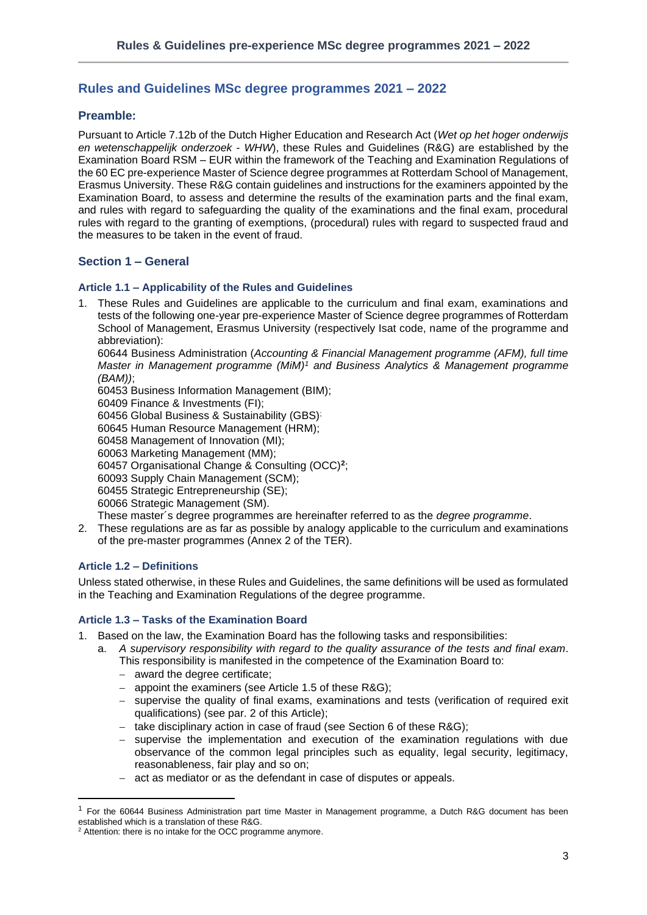## <span id="page-2-0"></span>**Rules and Guidelines MSc degree programmes 2021 – 2022**

## <span id="page-2-1"></span>**Preamble:**

Pursuant to Article 7.12b of the Dutch Higher Education and Research Act (*Wet op het hoger onderwijs en wetenschappelijk onderzoek* - *WHW*), these Rules and Guidelines (R&G) are established by the Examination Board RSM – EUR within the framework of the Teaching and Examination Regulations of the 60 EC pre-experience Master of Science degree programmes at Rotterdam School of Management, Erasmus University. These R&G contain guidelines and instructions for the examiners appointed by the Examination Board, to assess and determine the results of the examination parts and the final exam, and rules with regard to safeguarding the quality of the examinations and the final exam, procedural rules with regard to the granting of exemptions, (procedural) rules with regard to suspected fraud and the measures to be taken in the event of fraud.

## <span id="page-2-2"></span>**Section 1 – General**

### <span id="page-2-3"></span>**Article 1.1 – Applicability of the Rules and Guidelines**

1. These Rules and Guidelines are applicable to the curriculum and final exam, examinations and tests of the following one-year pre-experience Master of Science degree programmes of Rotterdam School of Management, Erasmus University (respectively Isat code, name of the programme and abbreviation):

60644 Business Administration (*Accounting & Financial Management programme (AFM), full time Master in Management programme (MiM)<sup>1</sup> and Business Analytics & Management programme (BAM))*;

60453 Business Information Management (BIM);

60409 Finance & Investments (FI);

60456 Global Business & Sustainability (GBS);

60645 Human Resource Management (HRM);

60458 Management of Innovation (MI);

60063 Marketing Management (MM);

60457 Organisational Change & Consulting (OCC)**<sup>2</sup>** ;

60093 Supply Chain Management (SCM);

60455 Strategic Entrepreneurship (SE);

60066 Strategic Management (SM).

- These master´s degree programmes are hereinafter referred to as the *degree programme*.
- 2. These regulations are as far as possible by analogy applicable to the curriculum and examinations of the pre-master programmes (Annex 2 of the TER).

## <span id="page-2-4"></span>**Article 1.2 – Definitions**

Unless stated otherwise, in these Rules and Guidelines, the same definitions will be used as formulated in the Teaching and Examination Regulations of the degree programme.

## <span id="page-2-5"></span>**Article 1.3 – Tasks of the Examination Board**

- 1. Based on the law, the Examination Board has the following tasks and responsibilities:
	- a. *A supervisory responsibility with regard to the quality assurance of the tests and final exam*. This responsibility is manifested in the competence of the Examination Board to:
		- − award the degree certificate;
		- − appoint the examiners (see Article 1.5 of these R&G);
		- supervise the quality of final exams, examinations and tests (verification of required exit qualifications) (see par. 2 of this Article);
		- take disciplinary action in case of fraud (see Section 6 of these R&G);
		- supervise the implementation and execution of the examination regulations with due observance of the common legal principles such as equality, legal security, legitimacy, reasonableness, fair play and so on;
		- − act as mediator or as the defendant in case of disputes or appeals.

 $1$  For the 60644 Business Administration part time Master in Management programme, a Dutch R&G document has been established which is a translation of these R&G.

 $2$  Attention: there is no intake for the OCC programme anymore.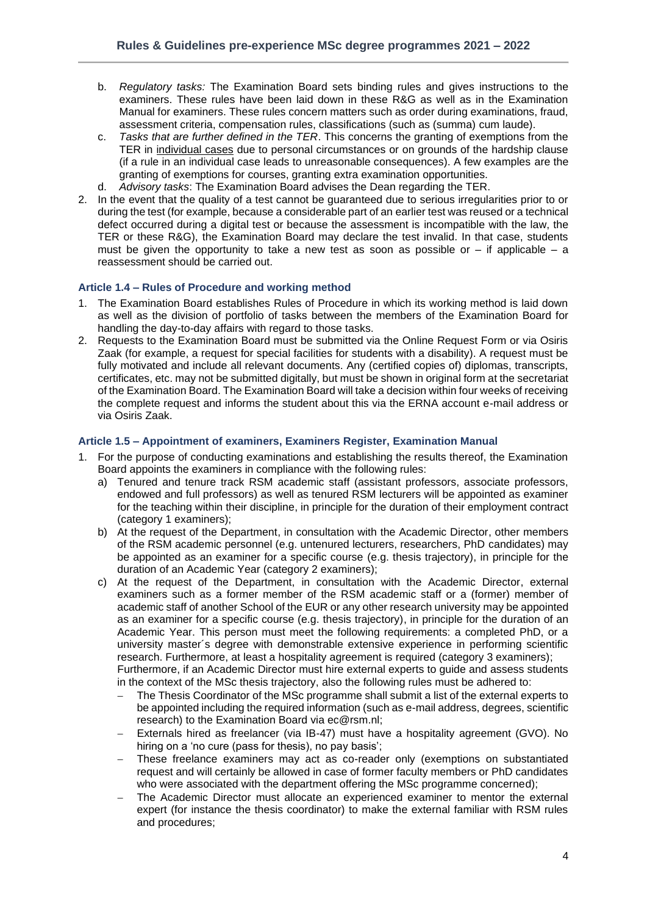- b. *Regulatory tasks:* The Examination Board sets binding rules and gives instructions to the examiners. These rules have been laid down in these R&G as well as in the Examination Manual for examiners. These rules concern matters such as order during examinations, fraud, assessment criteria, compensation rules, classifications (such as (summa) cum laude).
- c. *Tasks that are further defined in the TER*. This concerns the granting of exemptions from the TER in individual cases due to personal circumstances or on grounds of the hardship clause (if a rule in an individual case leads to unreasonable consequences). A few examples are the granting of exemptions for courses, granting extra examination opportunities.
- d. *Advisory tasks*: The Examination Board advises the Dean regarding the TER.
- 2. In the event that the quality of a test cannot be guaranteed due to serious irregularities prior to or during the test (for example, because a considerable part of an earlier test was reused or a technical defect occurred during a digital test or because the assessment is incompatible with the law, the TER or these R&G), the Examination Board may declare the test invalid. In that case, students must be given the opportunity to take a new test as soon as possible or  $-$  if applicable  $-$  a reassessment should be carried out.

### <span id="page-3-0"></span>**Article 1.4 – Rules of Procedure and working method**

- 1. The Examination Board establishes Rules of Procedure in which its working method is laid down as well as the division of portfolio of tasks between the members of the Examination Board for handling the day-to-day affairs with regard to those tasks.
- 2. Requests to the Examination Board must be submitted via the Online Request Form or via Osiris Zaak (for example, a request for special facilities for students with a disability). A request must be fully motivated and include all relevant documents. Any (certified copies of) diplomas, transcripts, certificates, etc. may not be submitted digitally, but must be shown in original form at the secretariat of the Examination Board. The Examination Board will take a decision within four weeks of receiving the complete request and informs the student about this via the ERNA account e-mail address or via Osiris Zaak.

### <span id="page-3-1"></span>**Article 1.5 – Appointment of examiners, Examiners Register, Examination Manual**

- 1. For the purpose of conducting examinations and establishing the results thereof, the Examination Board appoints the examiners in compliance with the following rules:
	- a) Tenured and tenure track RSM academic staff (assistant professors, associate professors, endowed and full professors) as well as tenured RSM lecturers will be appointed as examiner for the teaching within their discipline, in principle for the duration of their employment contract (category 1 examiners);
	- b) At the request of the Department, in consultation with the Academic Director, other members of the RSM academic personnel (e.g. untenured lecturers, researchers, PhD candidates) may be appointed as an examiner for a specific course (e.g. thesis trajectory), in principle for the duration of an Academic Year (category 2 examiners);
	- c) At the request of the Department, in consultation with the Academic Director, external examiners such as a former member of the RSM academic staff or a (former) member of academic staff of another School of the EUR or any other research university may be appointed as an examiner for a specific course (e.g. thesis trajectory), in principle for the duration of an Academic Year. This person must meet the following requirements: a completed PhD, or a university master´s degree with demonstrable extensive experience in performing scientific research. Furthermore, at least a hospitality agreement is required (category 3 examiners); Furthermore, if an Academic Director must hire external experts to guide and assess students

in the context of the MSc thesis trajectory, also the following rules must be adhered to:

- The Thesis Coordinator of the MSc programme shall submit a list of the external experts to be appointed including the required information (such as e-mail address, degrees, scientific research) to the Examination Board via ec@rsm.nl;
- − Externals hired as freelancer (via IB-47) must have a hospitality agreement (GVO). No hiring on a 'no cure (pass for thesis), no pay basis';
- − These freelance examiners may act as co-reader only (exemptions on substantiated request and will certainly be allowed in case of former faculty members or PhD candidates who were associated with the department offering the MSc programme concerned);
- The Academic Director must allocate an experienced examiner to mentor the external expert (for instance the thesis coordinator) to make the external familiar with RSM rules and procedures;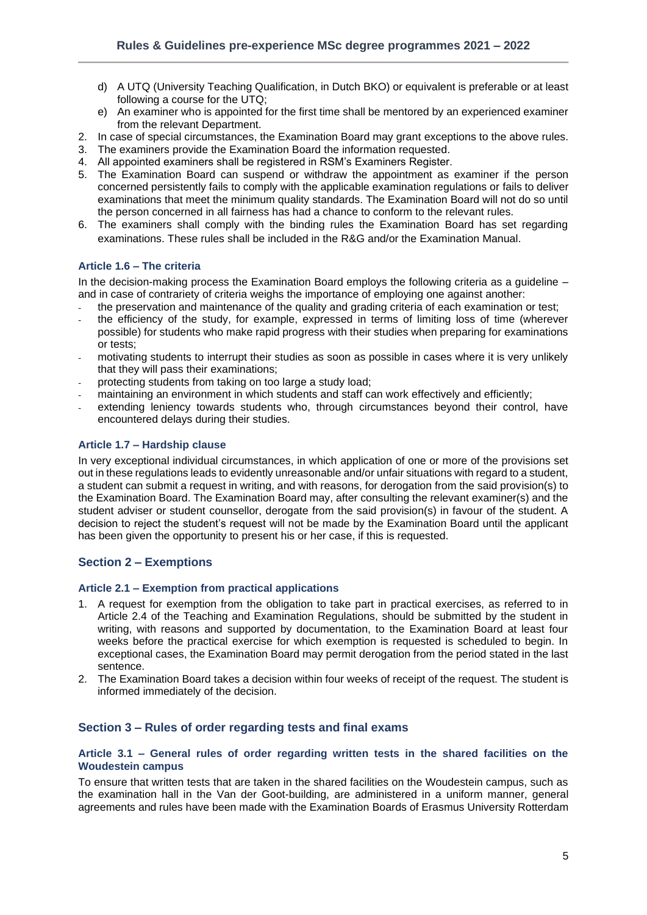- d) A UTQ (University Teaching Qualification, in Dutch BKO) or equivalent is preferable or at least following a course for the UTQ;
- e) An examiner who is appointed for the first time shall be mentored by an experienced examiner from the relevant Department.
- 2. In case of special circumstances, the Examination Board may grant exceptions to the above rules.
- 3. The examiners provide the Examination Board the information requested.
- 4. All appointed examiners shall be registered in RSM's Examiners Register.
- 5. The Examination Board can suspend or withdraw the appointment as examiner if the person concerned persistently fails to comply with the applicable examination regulations or fails to deliver examinations that meet the minimum quality standards. The Examination Board will not do so until the person concerned in all fairness has had a chance to conform to the relevant rules.
- 6. The examiners shall comply with the binding rules the Examination Board has set regarding examinations. These rules shall be included in the R&G and/or the Examination Manual.

## <span id="page-4-0"></span>**Article 1.6 – The criteria**

In the decision-making process the Examination Board employs the following criteria as a guideline – and in case of contrariety of criteria weighs the importance of employing one against another:

- the preservation and maintenance of the quality and grading criteria of each examination or test;
- the efficiency of the study, for example, expressed in terms of limiting loss of time (wherever possible) for students who make rapid progress with their studies when preparing for examinations or tests;
- motivating students to interrupt their studies as soon as possible in cases where it is very unlikely that they will pass their examinations;
- protecting students from taking on too large a study load;
- maintaining an environment in which students and staff can work effectively and efficiently;
- extending leniency towards students who, through circumstances beyond their control, have encountered delays during their studies.

## <span id="page-4-1"></span>**Article 1.7 – Hardship clause**

In very exceptional individual circumstances, in which application of one or more of the provisions set out in these regulations leads to evidently unreasonable and/or unfair situations with regard to a student, a student can submit a request in writing, and with reasons, for derogation from the said provision(s) to the Examination Board. The Examination Board may, after consulting the relevant examiner(s) and the student adviser or student counsellor, derogate from the said provision(s) in favour of the student. A decision to reject the student's request will not be made by the Examination Board until the applicant has been given the opportunity to present his or her case, if this is requested.

## <span id="page-4-2"></span>**Section 2 – Exemptions**

### <span id="page-4-3"></span>**Article 2.1 – Exemption from practical applications**

- 1. A request for exemption from the obligation to take part in practical exercises, as referred to in Article 2.4 of the Teaching and Examination Regulations, should be submitted by the student in writing, with reasons and supported by documentation, to the Examination Board at least four weeks before the practical exercise for which exemption is requested is scheduled to begin. In exceptional cases, the Examination Board may permit derogation from the period stated in the last sentence.
- 2. The Examination Board takes a decision within four weeks of receipt of the request. The student is informed immediately of the decision.

## <span id="page-4-4"></span>**Section 3 – Rules of order regarding tests and final exams**

### <span id="page-4-5"></span>**Article 3.1 – General rules of order regarding written tests in the shared facilities on the Woudestein campus**

To ensure that written tests that are taken in the shared facilities on the Woudestein campus, such as the examination hall in the Van der Goot-building, are administered in a uniform manner, general agreements and rules have been made with the Examination Boards of Erasmus University Rotterdam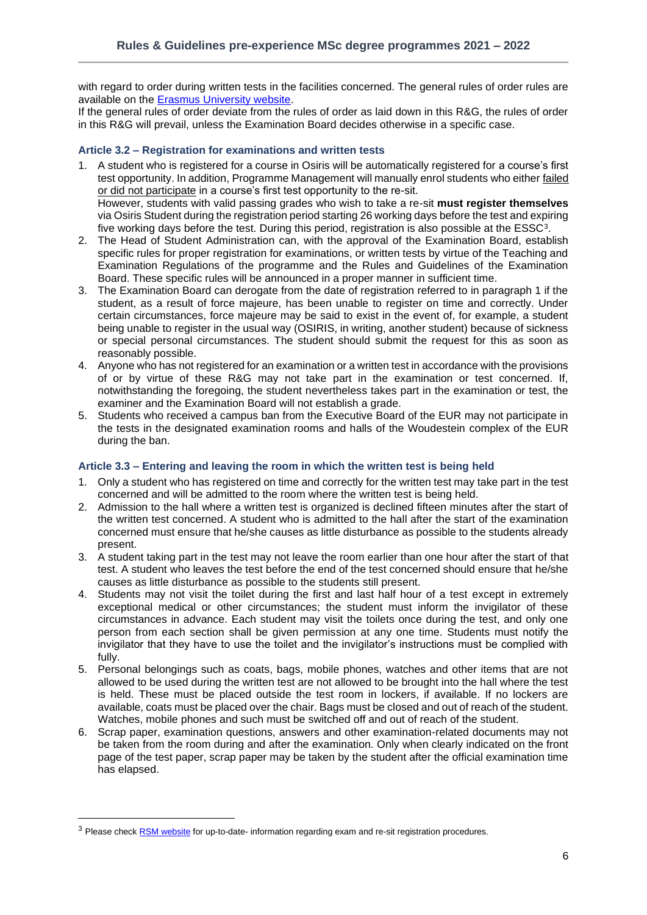with regard to order during written tests in the facilities concerned. The general rules of order rules are available on the [Erasmus University website.](https://www.eur.nl/en/media/2021-09-examination-rules-eur-eng-2021-2022-definitive)

If the general rules of order deviate from the rules of order as laid down in this R&G, the rules of order in this R&G will prevail, unless the Examination Board decides otherwise in a specific case.

### <span id="page-5-0"></span>**Article 3.2 – Registration for examinations and written tests**

- 1. A student who is registered for a course in Osiris will be automatically registered for a course's first test opportunity. In addition, Programme Management will manually enrol students who either failed or did not participate in a course's first test opportunity to the re-sit. However, students with valid passing grades who wish to take a re-sit **must register themselves** via Osiris Student during the registration period starting 26 working days before the test and expiring five working days before the test. During this period, registration is also possible at the  $ESSC<sup>3</sup>$ .
- 2. The Head of Student Administration can, with the approval of the Examination Board, establish specific rules for proper registration for examinations, or written tests by virtue of the Teaching and Examination Regulations of the programme and the Rules and Guidelines of the Examination Board. These specific rules will be announced in a proper manner in sufficient time.
- 3. The Examination Board can derogate from the date of registration referred to in paragraph 1 if the student, as a result of force majeure, has been unable to register on time and correctly. Under certain circumstances, force majeure may be said to exist in the event of, for example, a student being unable to register in the usual way (OSIRIS, in writing, another student) because of sickness or special personal circumstances. The student should submit the request for this as soon as reasonably possible.
- 4. Anyone who has not registered for an examination or a written test in accordance with the provisions of or by virtue of these R&G may not take part in the examination or test concerned. If, notwithstanding the foregoing, the student nevertheless takes part in the examination or test, the examiner and the Examination Board will not establish a grade.
- 5. Students who received a campus ban from the Executive Board of the EUR may not participate in the tests in the designated examination rooms and halls of the Woudestein complex of the EUR during the ban.

## <span id="page-5-1"></span>**Article 3.3 – Entering and leaving the room in which the written test is being held**

- 1. Only a student who has registered on time and correctly for the written test may take part in the test concerned and will be admitted to the room where the written test is being held.
- 2. Admission to the hall where a written test is organized is declined fifteen minutes after the start of the written test concerned. A student who is admitted to the hall after the start of the examination concerned must ensure that he/she causes as little disturbance as possible to the students already present.
- 3. A student taking part in the test may not leave the room earlier than one hour after the start of that test. A student who leaves the test before the end of the test concerned should ensure that he/she causes as little disturbance as possible to the students still present.
- 4. Students may not visit the toilet during the first and last half hour of a test except in extremely exceptional medical or other circumstances; the student must inform the invigilator of these circumstances in advance. Each student may visit the toilets once during the test, and only one person from each section shall be given permission at any one time. Students must notify the invigilator that they have to use the toilet and the invigilator's instructions must be complied with fully.
- 5. Personal belongings such as coats, bags, mobile phones, watches and other items that are not allowed to be used during the written test are not allowed to be brought into the hall where the test is held. These must be placed outside the test room in lockers, if available. If no lockers are available, coats must be placed over the chair. Bags must be closed and out of reach of the student. Watches, mobile phones and such must be switched off and out of reach of the student.
- 6. Scrap paper, examination questions, answers and other examination-related documents may not be taken from the room during and after the examination. Only when clearly indicated on the front page of the test paper, scrap paper may be taken by the student after the official examination time has elapsed.

<sup>&</sup>lt;sup>3</sup> Please check **RSM website** for up-to-date- information regarding exam and re-sit registration procedures.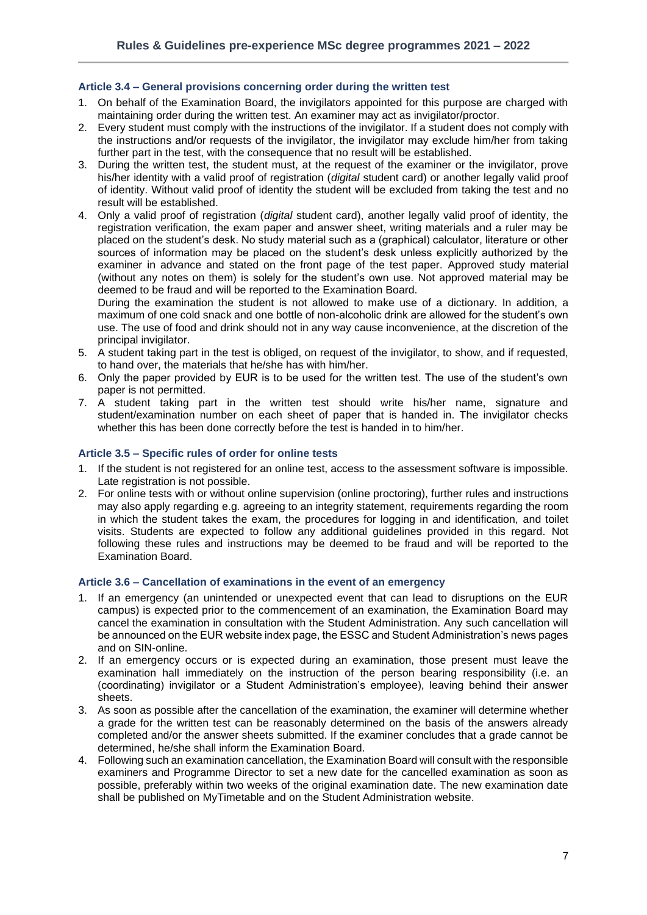## <span id="page-6-0"></span>**Article 3.4 – General provisions concerning order during the written test**

- 1. On behalf of the Examination Board, the invigilators appointed for this purpose are charged with maintaining order during the written test. An examiner may act as invigilator/proctor.
- 2. Every student must comply with the instructions of the invigilator. If a student does not comply with the instructions and/or requests of the invigilator, the invigilator may exclude him/her from taking further part in the test, with the consequence that no result will be established.
- 3. During the written test, the student must, at the request of the examiner or the invigilator, prove his/her identity with a valid proof of registration (*digital* student card) or another legally valid proof of identity. Without valid proof of identity the student will be excluded from taking the test and no result will be established.
- 4. Only a valid proof of registration (*digital* student card), another legally valid proof of identity, the registration verification, the exam paper and answer sheet, writing materials and a ruler may be placed on the student's desk. No study material such as a (graphical) calculator, literature or other sources of information may be placed on the student's desk unless explicitly authorized by the examiner in advance and stated on the front page of the test paper. Approved study material (without any notes on them) is solely for the student's own use. Not approved material may be deemed to be fraud and will be reported to the Examination Board.

During the examination the student is not allowed to make use of a dictionary. In addition, a maximum of one cold snack and one bottle of non-alcoholic drink are allowed for the student's own use. The use of food and drink should not in any way cause inconvenience, at the discretion of the principal invigilator.

- 5. A student taking part in the test is obliged, on request of the invigilator, to show, and if requested, to hand over, the materials that he/she has with him/her.
- 6. Only the paper provided by EUR is to be used for the written test. The use of the student's own paper is not permitted.
- 7. A student taking part in the written test should write his/her name, signature and student/examination number on each sheet of paper that is handed in. The invigilator checks whether this has been done correctly before the test is handed in to him/her.

### <span id="page-6-1"></span>**Article 3.5 – Specific rules of order for online tests**

- 1. If the student is not registered for an online test, access to the assessment software is impossible. Late registration is not possible.
- 2. For online tests with or without online supervision (online proctoring), further rules and instructions may also apply regarding e.g. agreeing to an integrity statement, requirements regarding the room in which the student takes the exam, the procedures for logging in and identification, and toilet visits. Students are expected to follow any additional guidelines provided in this regard. Not following these rules and instructions may be deemed to be fraud and will be reported to the Examination Board.

#### <span id="page-6-2"></span>**Article 3.6 – Cancellation of examinations in the event of an emergency**

- 1. If an emergency (an unintended or unexpected event that can lead to disruptions on the EUR campus) is expected prior to the commencement of an examination, the Examination Board may cancel the examination in consultation with the Student Administration. Any such cancellation will be announced on the EUR website index page, the ESSC and Student Administration's news pages and on SIN-online.
- 2. If an emergency occurs or is expected during an examination, those present must leave the examination hall immediately on the instruction of the person bearing responsibility (i.e. an (coordinating) invigilator or a Student Administration's employee), leaving behind their answer sheets.
- 3. As soon as possible after the cancellation of the examination, the examiner will determine whether a grade for the written test can be reasonably determined on the basis of the answers already completed and/or the answer sheets submitted. If the examiner concludes that a grade cannot be determined, he/she shall inform the Examination Board.
- 4. Following such an examination cancellation, the Examination Board will consult with the responsible examiners and Programme Director to set a new date for the cancelled examination as soon as possible, preferably within two weeks of the original examination date. The new examination date shall be published on MyTimetable and on the Student Administration website.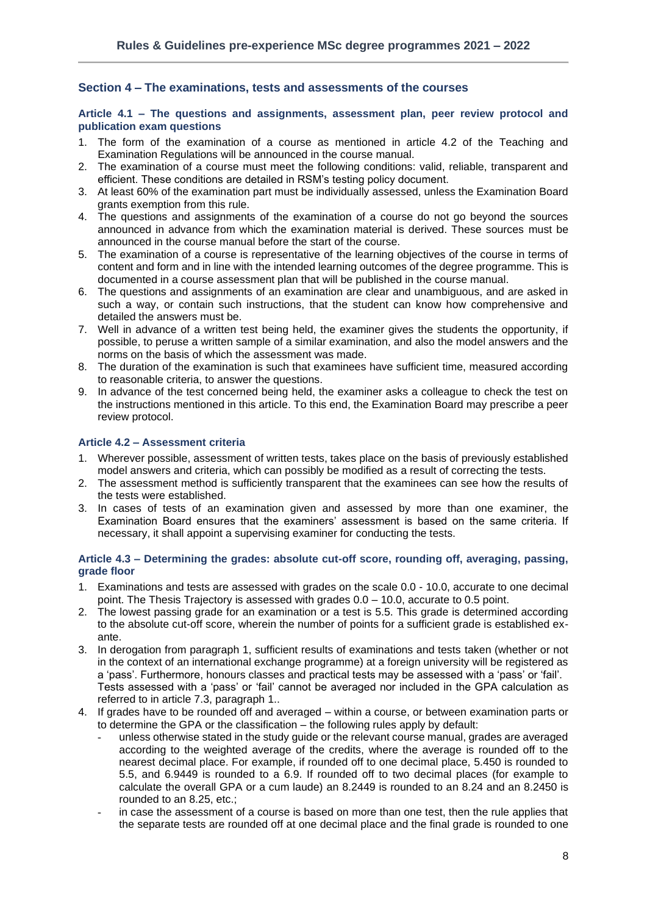## <span id="page-7-0"></span>**Section 4 – The examinations, tests and assessments of the courses**

## <span id="page-7-1"></span>**Article 4.1 – The questions and assignments, assessment plan, peer review protocol and publication exam questions**

- 1. The form of the examination of a course as mentioned in article 4.2 of the Teaching and Examination Regulations will be announced in the course manual.
- 2. The examination of a course must meet the following conditions: valid, reliable, transparent and efficient. These conditions are detailed in RSM's testing policy document.
- 3. At least 60% of the examination part must be individually assessed, unless the Examination Board grants exemption from this rule.
- 4. The questions and assignments of the examination of a course do not go beyond the sources announced in advance from which the examination material is derived. These sources must be announced in the course manual before the start of the course.
- 5. The examination of a course is representative of the learning objectives of the course in terms of content and form and in line with the intended learning outcomes of the degree programme. This is documented in a course assessment plan that will be published in the course manual.
- 6. The questions and assignments of an examination are clear and unambiguous, and are asked in such a way, or contain such instructions, that the student can know how comprehensive and detailed the answers must be.
- 7. Well in advance of a written test being held, the examiner gives the students the opportunity, if possible, to peruse a written sample of a similar examination, and also the model answers and the norms on the basis of which the assessment was made.
- 8. The duration of the examination is such that examinees have sufficient time, measured according to reasonable criteria, to answer the questions.
- 9. In advance of the test concerned being held, the examiner asks a colleague to check the test on the instructions mentioned in this article. To this end, the Examination Board may prescribe a peer review protocol.

### <span id="page-7-2"></span>**Article 4.2 – Assessment criteria**

- 1. Wherever possible, assessment of written tests, takes place on the basis of previously established model answers and criteria, which can possibly be modified as a result of correcting the tests.
- 2. The assessment method is sufficiently transparent that the examinees can see how the results of the tests were established.
- 3. In cases of tests of an examination given and assessed by more than one examiner, the Examination Board ensures that the examiners' assessment is based on the same criteria. If necessary, it shall appoint a supervising examiner for conducting the tests.

### <span id="page-7-3"></span>**Article 4.3 – Determining the grades: absolute cut-off score, rounding off, averaging, passing, grade floor**

- 1. Examinations and tests are assessed with grades on the scale 0.0 10.0, accurate to one decimal point. The Thesis Trajectory is assessed with grades 0.0 – 10.0, accurate to 0.5 point.
- 2. The lowest passing grade for an examination or a test is 5.5. This grade is determined according to the absolute cut-off score, wherein the number of points for a sufficient grade is established exante.
- 3. In derogation from paragraph 1, sufficient results of examinations and tests taken (whether or not in the context of an international exchange programme) at a foreign university will be registered as a 'pass'. Furthermore, honours classes and practical tests may be assessed with a 'pass' or 'fail'. Tests assessed with a 'pass' or 'fail' cannot be averaged nor included in the GPA calculation as referred to in article 7.3, paragraph 1..
- 4. If grades have to be rounded off and averaged within a course, or between examination parts or to determine the GPA or the classification – the following rules apply by default:
	- unless otherwise stated in the study guide or the relevant course manual, grades are averaged according to the weighted average of the credits, where the average is rounded off to the nearest decimal place. For example, if rounded off to one decimal place, 5.450 is rounded to 5.5, and 6.9449 is rounded to a 6.9. If rounded off to two decimal places (for example to calculate the overall GPA or a cum laude) an 8.2449 is rounded to an 8.24 and an 8.2450 is rounded to an 8.25, etc.;
	- in case the assessment of a course is based on more than one test, then the rule applies that the separate tests are rounded off at one decimal place and the final grade is rounded to one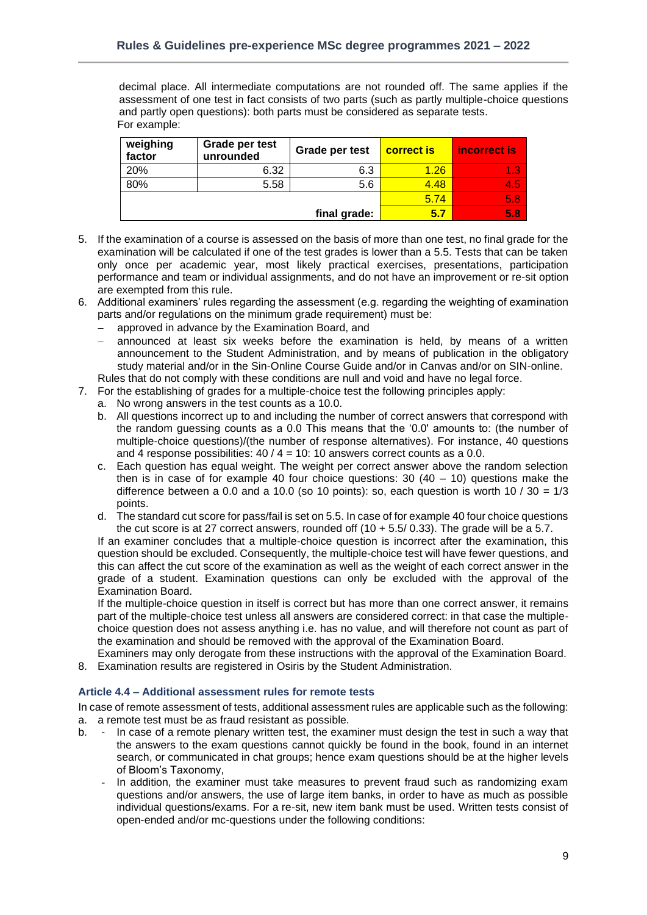decimal place. All intermediate computations are not rounded off. The same applies if the assessment of one test in fact consists of two parts (such as partly multiple-choice questions and partly open questions): both parts must be considered as separate tests. For example:

| weighing<br>factor | Grade per test<br>unrounded | Grade per test | <b>correct is</b> | incorrect is |
|--------------------|-----------------------------|----------------|-------------------|--------------|
| 20%                | 6.32                        | 6.3            | 1.26              | 1.3          |
| 80%                | 5.58                        | 5.6            | 4.48              | I4.51        |
|                    |                             | 5.74           | /5.87             |              |
|                    |                             | final grade:   | 5.7               | 5.87         |

- 5. If the examination of a course is assessed on the basis of more than one test, no final grade for the examination will be calculated if one of the test grades is lower than a 5.5. Tests that can be taken only once per academic year, most likely practical exercises, presentations, participation performance and team or individual assignments, and do not have an improvement or re-sit option are exempted from this rule.
- 6. Additional examiners' rules regarding the assessment (e.g. regarding the weighting of examination parts and/or regulations on the minimum grade requirement) must be:
	- − approved in advance by the Examination Board, and
	- announced at least six weeks before the examination is held, by means of a written announcement to the Student Administration, and by means of publication in the obligatory study material and/or in the Sin-Online Course Guide and/or in Canvas and/or on SIN-online.
	- Rules that do not comply with these conditions are null and void and have no legal force.
- 7. For the establishing of grades for a multiple-choice test the following principles apply:
	- a. No wrong answers in the test counts as a 10.0.
	- b. All questions incorrect up to and including the number of correct answers that correspond with the random guessing counts as a 0.0 This means that the '0.0' amounts to: (the number of multiple-choice questions)/(the number of response alternatives). For instance, 40 questions and 4 response possibilities:  $40 / 4 = 10$ : 10 answers correct counts as a 0.0.
	- c. Each question has equal weight. The weight per correct answer above the random selection then is in case of for example 40 four choice questions:  $30(40 - 10)$  questions make the difference between a 0.0 and a 10.0 (so 10 points); so, each question is worth 10 /  $30 = 1/3$ points.
	- d. The standard cut score for pass/fail is set on 5.5. In case of for example 40 four choice questions the cut score is at 27 correct answers, rounded off  $(10 + 5.5/0.33)$ . The grade will be a 5.7.

If an examiner concludes that a multiple-choice question is incorrect after the examination, this question should be excluded. Consequently, the multiple-choice test will have fewer questions, and this can affect the cut score of the examination as well as the weight of each correct answer in the grade of a student. Examination questions can only be excluded with the approval of the Examination Board.

If the multiple-choice question in itself is correct but has more than one correct answer, it remains part of the multiple-choice test unless all answers are considered correct: in that case the multiplechoice question does not assess anything i.e. has no value, and will therefore not count as part of the examination and should be removed with the approval of the Examination Board.

Examiners may only derogate from these instructions with the approval of the Examination Board. 8. Examination results are registered in Osiris by the Student Administration.

## <span id="page-8-0"></span>**Article 4.4 – Additional assessment rules for remote tests**

In case of remote assessment of tests, additional assessment rules are applicable such as the following: a. a remote test must be as fraud resistant as possible.

- b. In case of a remote plenary written test, the examiner must design the test in such a way that the answers to the exam questions cannot quickly be found in the book, found in an internet search, or communicated in chat groups; hence exam questions should be at the higher levels of Bloom's Taxonomy,
	- In addition, the examiner must take measures to prevent fraud such as randomizing exam questions and/or answers, the use of large item banks, in order to have as much as possible individual questions/exams. For a re-sit, new item bank must be used. Written tests consist of open-ended and/or mc-questions under the following conditions: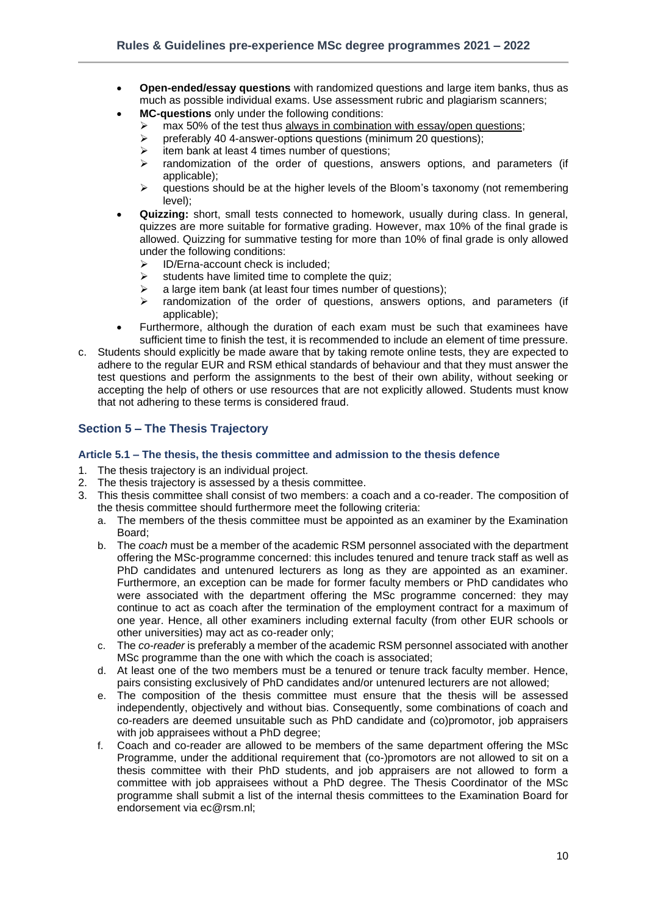- **Open-ended/essay questions** with randomized questions and large item banks, thus as much as possible individual exams. Use assessment rubric and plagiarism scanners;
- **MC-questions** only under the following conditions:
	- ighthaw max 50% of the test thus always in combination with essay/open questions;<br>  $\triangleright$  preferably 40 4-answer-options questions (minimum 20 questions):
		- ➢ preferably 40 4-answer-options questions (minimum 20 questions);
	- $\triangleright$  item bank at least 4 times number of questions;
	- $\triangleright$  randomization of the order of questions, answers options, and parameters (if applicable);
	- $\triangleright$  questions should be at the higher levels of the Bloom's taxonomy (not remembering level);
- **Quizzing:** short, small tests connected to homework, usually during class. In general, quizzes are more suitable for formative grading. However, max 10% of the final grade is allowed. Quizzing for summative testing for more than 10% of final grade is only allowed under the following conditions:
	- ➢ ID/Erna-account check is included;
	- $\triangleright$  students have limited time to complete the quiz;
	- $\triangleright$  a large item bank (at least four times number of questions);
	- $\triangleright$  randomization of the order of questions, answers options, and parameters (if applicable);
- Furthermore, although the duration of each exam must be such that examinees have sufficient time to finish the test, it is recommended to include an element of time pressure.
- c. Students should explicitly be made aware that by taking remote online tests, they are expected to adhere to the regular EUR and RSM ethical standards of behaviour and that they must answer the test questions and perform the assignments to the best of their own ability, without seeking or accepting the help of others or use resources that are not explicitly allowed. Students must know that not adhering to these terms is considered fraud.

## <span id="page-9-0"></span>**Section 5 – The Thesis Trajectory**

## <span id="page-9-1"></span>**Article 5.1 – The thesis, the thesis committee and admission to the thesis defence**

- 1. The thesis trajectory is an individual project.
- 2. The thesis trajectory is assessed by a thesis committee.
- 3. This thesis committee shall consist of two members: a coach and a co-reader. The composition of the thesis committee should furthermore meet the following criteria:
	- a. The members of the thesis committee must be appointed as an examiner by the Examination Board;
	- b. The *coach* must be a member of the academic RSM personnel associated with the department offering the MSc-programme concerned: this includes tenured and tenure track staff as well as PhD candidates and untenured lecturers as long as they are appointed as an examiner. Furthermore, an exception can be made for former faculty members or PhD candidates who were associated with the department offering the MSc programme concerned: they may continue to act as coach after the termination of the employment contract for a maximum of one year. Hence, all other examiners including external faculty (from other EUR schools or other universities) may act as co-reader only;
	- c. The *co-reader* is preferably a member of the academic RSM personnel associated with another MSc programme than the one with which the coach is associated;
	- d. At least one of the two members must be a tenured or tenure track faculty member. Hence, pairs consisting exclusively of PhD candidates and/or untenured lecturers are not allowed;
	- e. The composition of the thesis committee must ensure that the thesis will be assessed independently, objectively and without bias. Consequently, some combinations of coach and co-readers are deemed unsuitable such as PhD candidate and (co)promotor, job appraisers with job appraisees without a PhD degree;
	- f. Coach and co-reader are allowed to be members of the same department offering the MSc Programme, under the additional requirement that (co-)promotors are not allowed to sit on a thesis committee with their PhD students, and job appraisers are not allowed to form a committee with job appraisees without a PhD degree. The Thesis Coordinator of the MSc programme shall submit a list of the internal thesis committees to the Examination Board for endorsement via ec@rsm.nl;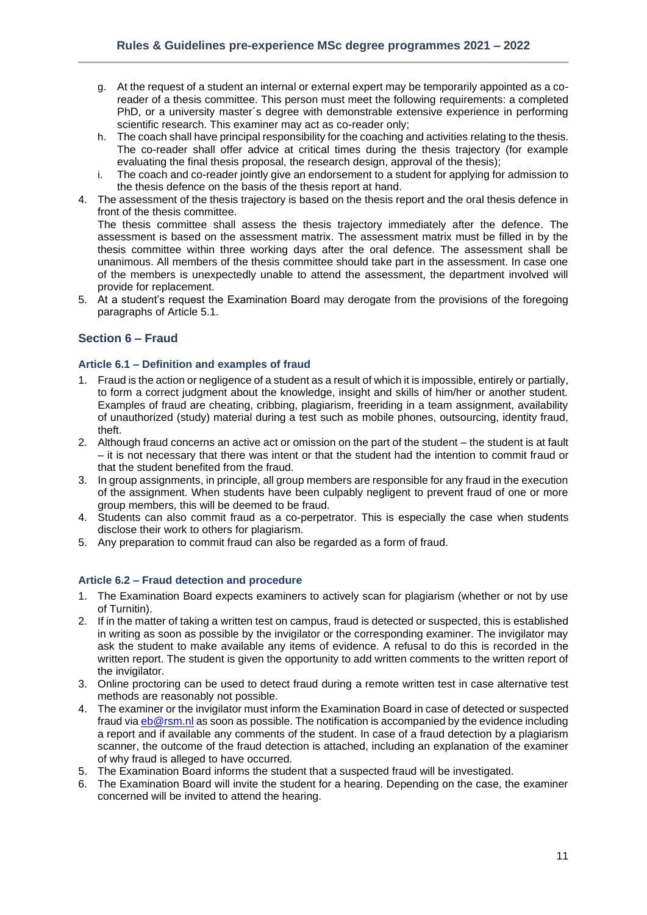- g. At the request of a student an internal or external expert may be temporarily appointed as a coreader of a thesis committee. This person must meet the following requirements: a completed PhD, or a university master´s degree with demonstrable extensive experience in performing scientific research. This examiner may act as co-reader only;
- h. The coach shall have principal responsibility for the coaching and activities relating to the thesis. The co-reader shall offer advice at critical times during the thesis trajectory (for example evaluating the final thesis proposal, the research design, approval of the thesis);
- i. The coach and co-reader jointly give an endorsement to a student for applying for admission to the thesis defence on the basis of the thesis report at hand.
- 4. The assessment of the thesis trajectory is based on the thesis report and the oral thesis defence in front of the thesis committee.

The thesis committee shall assess the thesis trajectory immediately after the defence. The assessment is based on the assessment matrix. The assessment matrix must be filled in by the thesis committee within three working days after the oral defence. The assessment shall be unanimous. All members of the thesis committee should take part in the assessment. In case one of the members is unexpectedly unable to attend the assessment, the department involved will provide for replacement.

5. At a student's request the Examination Board may derogate from the provisions of the foregoing paragraphs of Article 5.1.

## <span id="page-10-0"></span>**Section 6 – Fraud**

## <span id="page-10-1"></span>**Article 6.1 – Definition and examples of fraud**

- 1. Fraud is the action or negligence of a student as a result of which it is impossible, entirely or partially, to form a correct judgment about the knowledge, insight and skills of him/her or another student. Examples of fraud are cheating, cribbing, plagiarism, freeriding in a team assignment, availability of unauthorized (study) material during a test such as mobile phones, outsourcing, identity fraud, theft.
- 2. Although fraud concerns an active act or omission on the part of the student the student is at fault – it is not necessary that there was intent or that the student had the intention to commit fraud or that the student benefited from the fraud.
- 3. In group assignments, in principle, all group members are responsible for any fraud in the execution of the assignment. When students have been culpably negligent to prevent fraud of one or more group members, this will be deemed to be fraud.
- 4. Students can also commit fraud as a co-perpetrator. This is especially the case when students disclose their work to others for plagiarism.
- 5. Any preparation to commit fraud can also be regarded as a form of fraud.

## <span id="page-10-2"></span>**Article 6.2 – Fraud detection and procedure**

- 1. The Examination Board expects examiners to actively scan for plagiarism (whether or not by use of Turnitin).
- 2. If in the matter of taking a written test on campus, fraud is detected or suspected, this is established in writing as soon as possible by the invigilator or the corresponding examiner. The invigilator may ask the student to make available any items of evidence. A refusal to do this is recorded in the written report. The student is given the opportunity to add written comments to the written report of the invigilator.
- 3. Online proctoring can be used to detect fraud during a remote written test in case alternative test methods are reasonably not possible.
- 4. The examiner or the invigilator must inform the Examination Board in case of detected or suspected fraud via [eb@rsm.nl](mailto:eb@rsm.nl) as soon as possible. The notification is accompanied by the evidence including a report and if available any comments of the student. In case of a fraud detection by a plagiarism scanner, the outcome of the fraud detection is attached, including an explanation of the examiner of why fraud is alleged to have occurred.
- 5. The Examination Board informs the student that a suspected fraud will be investigated.
- 6. The Examination Board will invite the student for a hearing. Depending on the case, the examiner concerned will be invited to attend the hearing.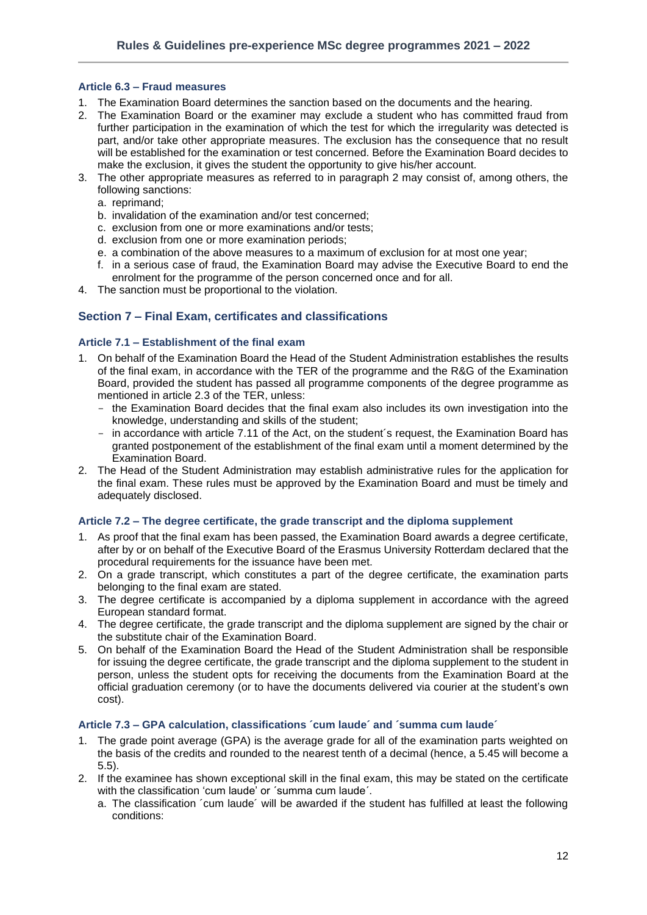## <span id="page-11-0"></span>**Article 6.3 – Fraud measures**

- 1. The Examination Board determines the sanction based on the documents and the hearing.
- 2. The Examination Board or the examiner may exclude a student who has committed fraud from further participation in the examination of which the test for which the irregularity was detected is part, and/or take other appropriate measures. The exclusion has the consequence that no result will be established for the examination or test concerned. Before the Examination Board decides to make the exclusion, it gives the student the opportunity to give his/her account.
- 3. The other appropriate measures as referred to in paragraph 2 may consist of, among others, the following sanctions:
	- a. reprimand;
	- b. invalidation of the examination and/or test concerned;
	- c. exclusion from one or more examinations and/or tests;
	- d. exclusion from one or more examination periods;
	- e. a combination of the above measures to a maximum of exclusion for at most one year;
	- f. in a serious case of fraud, the Examination Board may advise the Executive Board to end the enrolment for the programme of the person concerned once and for all.
- <span id="page-11-1"></span>4. The sanction must be proportional to the violation.

## **Section 7 – Final Exam, certificates and classifications**

## <span id="page-11-2"></span>**Article 7.1 – Establishment of the final exam**

- 1. On behalf of the Examination Board the Head of the Student Administration establishes the results of the final exam, in accordance with the TER of the programme and the R&G of the Examination Board, provided the student has passed all programme components of the degree programme as mentioned in article 2.3 of the TER, unless:
	- the Examination Board decides that the final exam also includes its own investigation into the knowledge, understanding and skills of the student;
	- in accordance with article 7.11 of the Act, on the student´s request, the Examination Board has granted postponement of the establishment of the final exam until a moment determined by the Examination Board.
- 2. The Head of the Student Administration may establish administrative rules for the application for the final exam. These rules must be approved by the Examination Board and must be timely and adequately disclosed.

#### <span id="page-11-3"></span>**Article 7.2 – The degree certificate, the grade transcript and the diploma supplement**

- 1. As proof that the final exam has been passed, the Examination Board awards a degree certificate, after by or on behalf of the Executive Board of the Erasmus University Rotterdam declared that the procedural requirements for the issuance have been met.
- 2. On a grade transcript, which constitutes a part of the degree certificate, the examination parts belonging to the final exam are stated.
- 3. The degree certificate is accompanied by a diploma supplement in accordance with the agreed European standard format.
- 4. The degree certificate, the grade transcript and the diploma supplement are signed by the chair or the substitute chair of the Examination Board.
- 5. On behalf of the Examination Board the Head of the Student Administration shall be responsible for issuing the degree certificate, the grade transcript and the diploma supplement to the student in person, unless the student opts for receiving the documents from the Examination Board at the official graduation ceremony (or to have the documents delivered via courier at the student's own cost).

## <span id="page-11-4"></span>**Article 7.3 – GPA calculation, classifications ´cum laude´ and ´summa cum laude´**

- 1. The grade point average (GPA) is the average grade for all of the examination parts weighted on the basis of the credits and rounded to the nearest tenth of a decimal (hence, a 5.45 will become a 5.5).
- 2. If the examinee has shown exceptional skill in the final exam, this may be stated on the certificate with the classification 'cum laude' or 'summa cum laude'.
	- a. The classification ´cum laude´ will be awarded if the student has fulfilled at least the following conditions: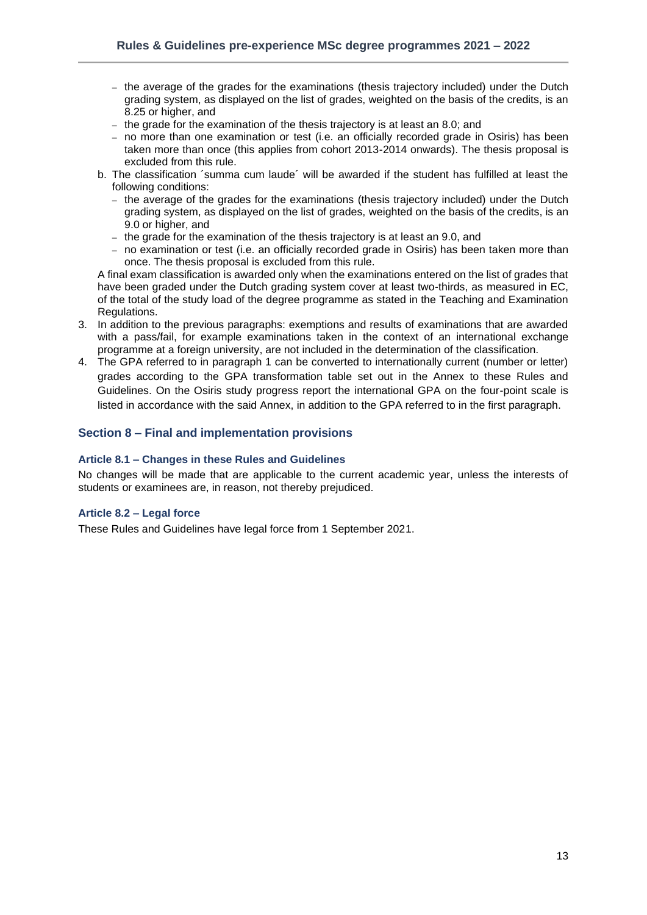- the average of the grades for the examinations (thesis trajectory included) under the Dutch grading system, as displayed on the list of grades, weighted on the basis of the credits, is an 8.25 or higher, and
- the grade for the examination of the thesis trajectory is at least an 8.0; and
- no more than one examination or test (i.e. an officially recorded grade in Osiris) has been taken more than once (this applies from cohort 2013-2014 onwards). The thesis proposal is excluded from this rule.
- b. The classification ´summa cum laude´ will be awarded if the student has fulfilled at least the following conditions:
	- the average of the grades for the examinations (thesis trajectory included) under the Dutch grading system, as displayed on the list of grades, weighted on the basis of the credits, is an 9.0 or higher, and
	- the grade for the examination of the thesis trajectory is at least an 9.0, and
	- no examination or test (i.e. an officially recorded grade in Osiris) has been taken more than once. The thesis proposal is excluded from this rule.

A final exam classification is awarded only when the examinations entered on the list of grades that have been graded under the Dutch grading system cover at least two-thirds, as measured in EC, of the total of the study load of the degree programme as stated in the Teaching and Examination Regulations.

- 3. In addition to the previous paragraphs: exemptions and results of examinations that are awarded with a pass/fail, for example examinations taken in the context of an international exchange programme at a foreign university, are not included in the determination of the classification.
- 4. The GPA referred to in paragraph 1 can be converted to internationally current (number or letter) grades according to the GPA transformation table set out in the Annex to these Rules and Guidelines. On the Osiris study progress report the international GPA on the four-point scale is listed in accordance with the said Annex, in addition to the GPA referred to in the first paragraph.

## <span id="page-12-0"></span>**Section 8 – Final and implementation provisions**

## <span id="page-12-1"></span>**Article 8.1 – Changes in these Rules and Guidelines**

No changes will be made that are applicable to the current academic year, unless the interests of students or examinees are, in reason, not thereby prejudiced.

#### <span id="page-12-2"></span>**Article 8.2 – Legal force**

These Rules and Guidelines have legal force from 1 September 2021.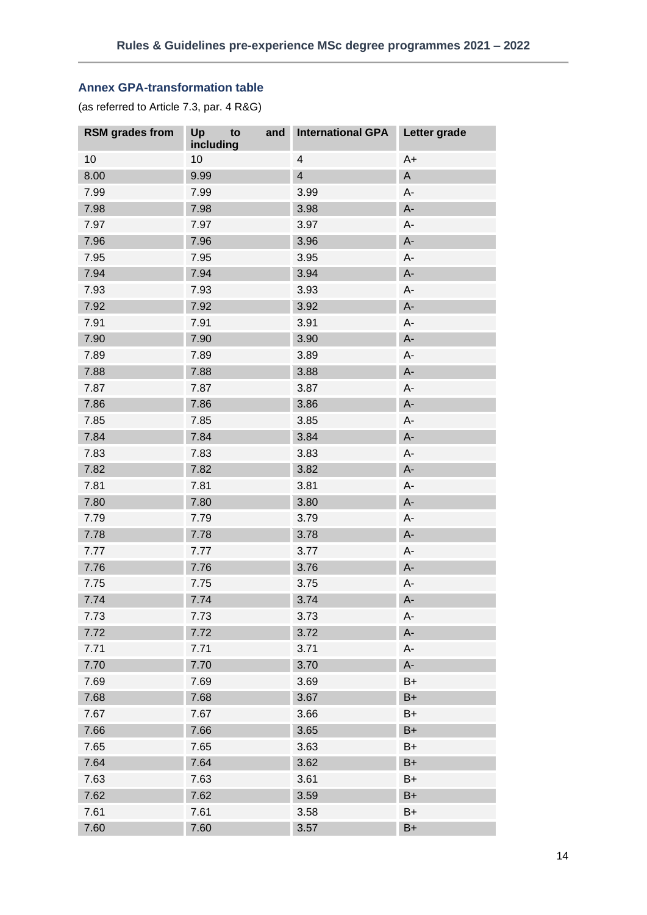## <span id="page-13-0"></span>**Annex GPA-transformation table**

(as referred to Article 7.3, par. 4 R&G)

| <b>RSM</b> grades from | Up<br>and<br>to<br>including | <b>International GPA</b> | Letter grade |
|------------------------|------------------------------|--------------------------|--------------|
| 10                     | 10                           | $\overline{4}$           | $A+$         |
| 8.00                   | 9.99                         | $\overline{4}$           | $\mathsf A$  |
| 7.99                   | 7.99                         | 3.99                     | A-           |
| 7.98                   | 7.98                         | 3.98                     | $A-$         |
| 7.97                   | 7.97                         | 3.97                     | A-           |
| 7.96                   | 7.96                         | 3.96                     | A-           |
| 7.95                   | 7.95                         | 3.95                     | A-           |
| 7.94                   | 7.94                         | 3.94                     | $A-$         |
| 7.93                   | 7.93                         | 3.93                     | A-           |
| 7.92                   | 7.92                         | 3.92                     | $A -$        |
| 7.91                   | 7.91                         | 3.91                     | A-           |
| 7.90                   | 7.90                         | 3.90                     | $A-$         |
| 7.89                   | 7.89                         | 3.89                     | A-           |
| 7.88                   | 7.88                         | 3.88                     | $A -$        |
| 7.87                   | 7.87                         | 3.87                     | А-           |
| 7.86                   | 7.86                         | 3.86                     | $A-$         |
| 7.85                   | 7.85                         | 3.85                     | A-           |
| 7.84                   | 7.84                         | 3.84                     | $A -$        |
| 7.83                   | 7.83                         | 3.83                     | A-           |
| 7.82                   | 7.82                         | 3.82                     | $A-$         |
| 7.81                   | 7.81                         | 3.81                     | A-           |
| 7.80                   | 7.80                         | 3.80                     | $A -$        |
| 7.79                   | 7.79                         | 3.79                     | А-           |
| 7.78                   | 7.78                         | 3.78                     | $A -$        |
| 7.77                   | 7.77                         | 3.77                     | A-           |
| 7.76                   | 7.76                         | 3.76                     | $A -$        |
| 7.75                   | 7.75                         | 3.75                     | A-           |
| 7.74                   | 7.74                         | 3.74                     | $A-$         |
| 7.73                   | 7.73                         | 3.73                     | A-           |
| 7.72                   | 7.72                         | 3.72                     | $A-$         |
| 7.71                   | 7.71                         | 3.71                     | A-           |
| 7.70                   | 7.70                         | 3.70                     | A-           |
| 7.69                   | 7.69                         | 3.69                     | $B+$         |
| 7.68                   | 7.68                         | 3.67                     | $B+$         |
| 7.67                   | 7.67                         | 3.66                     | $B+$         |
| 7.66                   | 7.66                         | 3.65                     | $B+$         |
| 7.65                   | 7.65                         | 3.63                     | $B+$         |
| 7.64                   | 7.64                         | 3.62                     | $B+$         |
| 7.63                   | 7.63                         | 3.61                     | $B+$         |
| 7.62                   | 7.62                         | 3.59                     | $B+$         |
| 7.61                   | 7.61                         | 3.58                     | $B+$         |
| 7.60                   | 7.60                         | 3.57                     | $B+$         |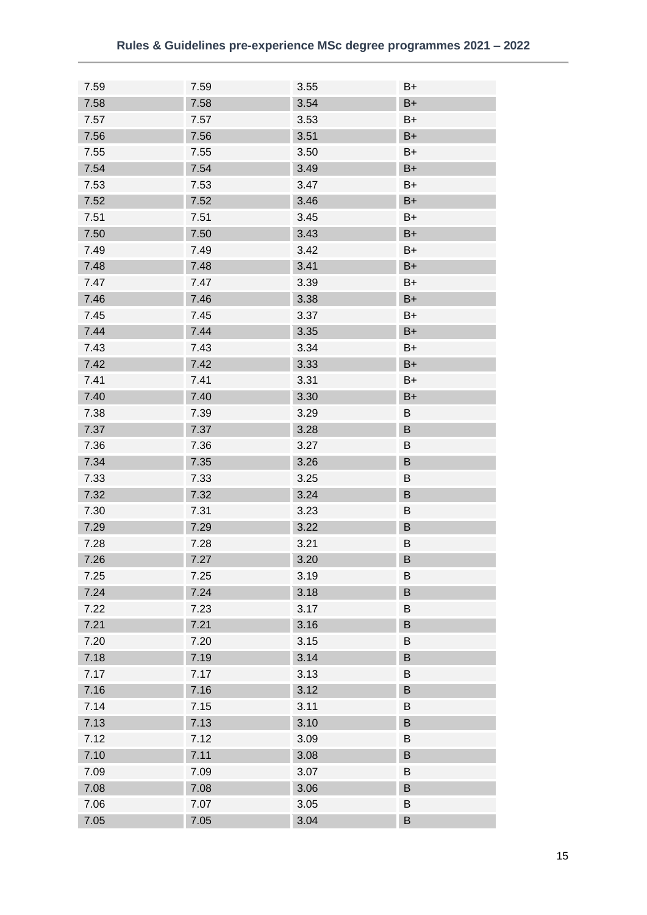| 7.59 | 7.59 | 3.55 | B+      |
|------|------|------|---------|
| 7.58 | 7.58 | 3.54 | $B+$    |
| 7.57 | 7.57 | 3.53 | B+      |
| 7.56 | 7.56 | 3.51 | $B+$    |
| 7.55 | 7.55 | 3.50 | B+      |
| 7.54 | 7.54 | 3.49 | $B+$    |
| 7.53 | 7.53 | 3.47 | B+      |
| 7.52 | 7.52 | 3.46 | $B+$    |
| 7.51 | 7.51 | 3.45 | B+      |
| 7.50 | 7.50 | 3.43 | $B+$    |
| 7.49 | 7.49 | 3.42 | B+      |
| 7.48 | 7.48 | 3.41 | $B+$    |
| 7.47 | 7.47 | 3.39 | B+      |
| 7.46 | 7.46 | 3.38 | $B+$    |
| 7.45 | 7.45 | 3.37 | B+      |
| 7.44 | 7.44 | 3.35 | $B+$    |
| 7.43 | 7.43 | 3.34 | B+      |
| 7.42 | 7.42 | 3.33 | $B+$    |
| 7.41 | 7.41 | 3.31 | B+      |
| 7.40 | 7.40 | 3.30 | $B+$    |
|      |      |      |         |
| 7.38 | 7.39 | 3.29 | B       |
| 7.37 | 7.37 | 3.28 | B       |
| 7.36 | 7.36 | 3.27 | B       |
| 7.34 | 7.35 | 3.26 | B       |
| 7.33 | 7.33 | 3.25 | B       |
| 7.32 | 7.32 | 3.24 | B       |
| 7.30 | 7.31 | 3.23 | B       |
| 7.29 | 7.29 | 3.22 | B       |
| 7.28 | 7.28 | 3.21 | B       |
| 7.26 | 7.27 | 3.20 | $\sf B$ |
| 7.25 | 7.25 | 3.19 | B       |
| 7.24 | 7.24 | 3.18 | B       |
| 7.22 | 7.23 | 3.17 | B       |
| 7.21 | 7.21 | 3.16 | B       |
| 7.20 | 7.20 | 3.15 | B       |
| 7.18 | 7.19 | 3.14 | B       |
| 7.17 | 7.17 | 3.13 | B       |
| 7.16 | 7.16 | 3.12 | B       |
| 7.14 | 7.15 | 3.11 | B       |
| 7.13 | 7.13 | 3.10 | B       |
| 7.12 | 7.12 | 3.09 | B       |
| 7.10 | 7.11 | 3.08 | B       |
| 7.09 | 7.09 | 3.07 | B       |
| 7.08 | 7.08 | 3.06 | B       |
| 7.06 | 7.07 | 3.05 | B       |
| 7.05 | 7.05 | 3.04 | $\sf B$ |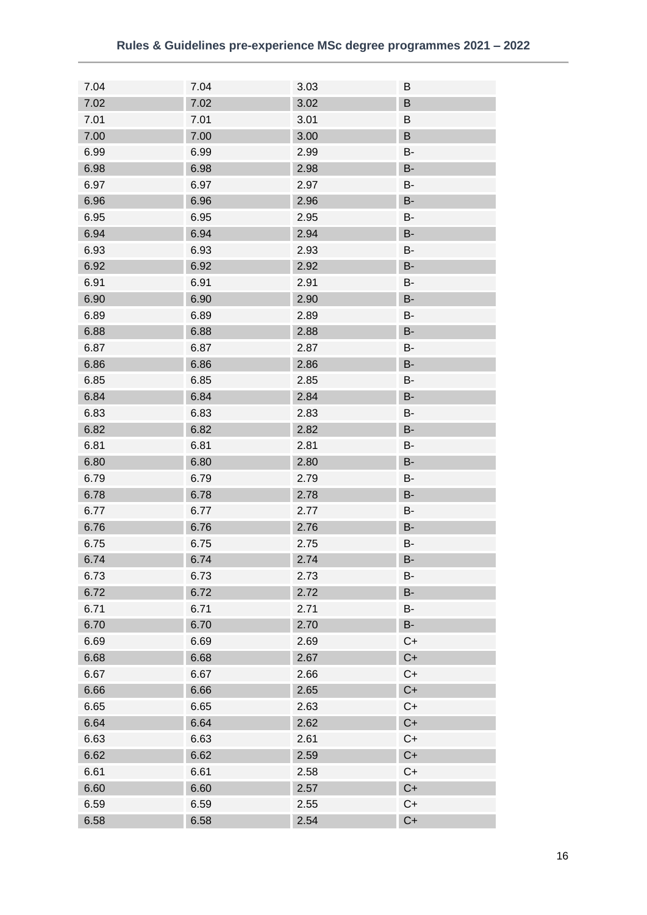| 7.04 | 7.04 | 3.03 | B         |
|------|------|------|-----------|
| 7.02 | 7.02 | 3.02 | B         |
| 7.01 | 7.01 | 3.01 | B         |
| 7.00 | 7.00 | 3.00 | B         |
| 6.99 | 6.99 | 2.99 | B-        |
| 6.98 | 6.98 | 2.98 | <b>B-</b> |
| 6.97 | 6.97 | 2.97 | В-        |
| 6.96 | 6.96 | 2.96 | <b>B-</b> |
| 6.95 | 6.95 | 2.95 | B-        |
| 6.94 | 6.94 | 2.94 | <b>B-</b> |
| 6.93 | 6.93 | 2.93 | В-        |
| 6.92 | 6.92 | 2.92 | <b>B-</b> |
| 6.91 | 6.91 | 2.91 | B-        |
| 6.90 | 6.90 | 2.90 | <b>B-</b> |
| 6.89 | 6.89 | 2.89 | В-        |
| 6.88 | 6.88 | 2.88 | <b>B-</b> |
| 6.87 | 6.87 | 2.87 | B-        |
| 6.86 | 6.86 | 2.86 | B-        |
| 6.85 | 6.85 | 2.85 | В-        |
| 6.84 | 6.84 | 2.84 | <b>B-</b> |
| 6.83 | 6.83 | 2.83 | B-        |
| 6.82 | 6.82 | 2.82 | <b>B-</b> |
| 6.81 | 6.81 | 2.81 | В-        |
| 6.80 | 6.80 | 2.80 | <b>B-</b> |
| 6.79 | 6.79 | 2.79 | B-        |
| 6.78 | 6.78 | 2.78 | B-        |
| 6.77 | 6.77 | 2.77 | В-        |
| 6.76 | 6.76 | 2.76 | <b>B-</b> |
| 6.75 | 6.75 | 2.75 | В-        |
| 6.74 | 6.74 | 2.74 | <b>B-</b> |
| 6.73 | 6.73 | 2.73 | B-        |
| 6.72 | 6.72 | 2.72 | <b>B-</b> |
| 6.71 | 6.71 | 2.71 | B-        |
| 6.70 | 6.70 | 2.70 | <b>B-</b> |
| 6.69 | 6.69 | 2.69 | $C+$      |
| 6.68 | 6.68 | 2.67 | $C+$      |
| 6.67 | 6.67 | 2.66 | $C+$      |
| 6.66 | 6.66 | 2.65 | $C+$      |
| 6.65 | 6.65 | 2.63 | $C+$      |
| 6.64 | 6.64 | 2.62 | $C+$      |
| 6.63 | 6.63 | 2.61 | $C+$      |
| 6.62 | 6.62 | 2.59 | $C+$      |
| 6.61 | 6.61 | 2.58 | $C+$      |
| 6.60 | 6.60 | 2.57 | $C+$      |
| 6.59 | 6.59 | 2.55 | $C+$      |
| 6.58 | 6.58 | 2.54 | $C+$      |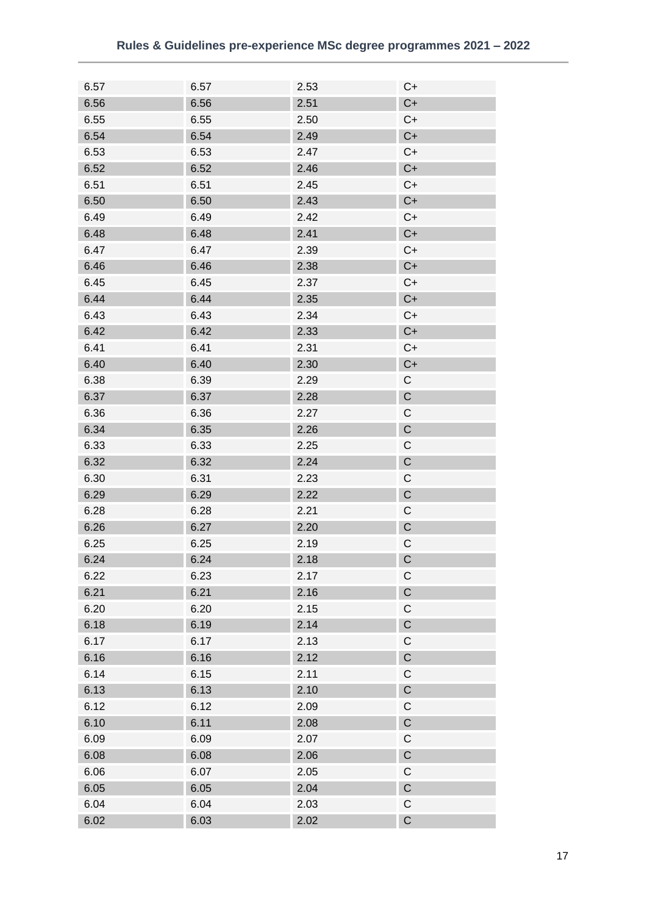| 6.57 | 6.57 | 2.53 | $C+$        |
|------|------|------|-------------|
| 6.56 | 6.56 | 2.51 | $C+$        |
| 6.55 | 6.55 | 2.50 | $C+$        |
| 6.54 | 6.54 | 2.49 | $C+$        |
| 6.53 | 6.53 | 2.47 | $C+$        |
| 6.52 | 6.52 | 2.46 | $C+$        |
| 6.51 | 6.51 | 2.45 | $C+$        |
| 6.50 | 6.50 | 2.43 | $C+$        |
| 6.49 | 6.49 | 2.42 | $C+$        |
| 6.48 | 6.48 | 2.41 | $C+$        |
| 6.47 | 6.47 | 2.39 | $C+$        |
| 6.46 | 6.46 | 2.38 | $C+$        |
| 6.45 | 6.45 | 2.37 | $C+$        |
| 6.44 | 6.44 | 2.35 | $C+$        |
| 6.43 | 6.43 | 2.34 | $C+$        |
| 6.42 | 6.42 | 2.33 | $C+$        |
| 6.41 | 6.41 | 2.31 | $C+$        |
| 6.40 | 6.40 | 2.30 | $C+$        |
| 6.38 | 6.39 | 2.29 | С           |
| 6.37 | 6.37 |      | $\mathsf C$ |
|      |      | 2.28 |             |
| 6.36 | 6.36 | 2.27 | C           |
| 6.34 | 6.35 | 2.26 | $\mathsf C$ |
| 6.33 | 6.33 | 2.25 | C           |
| 6.32 | 6.32 | 2.24 | $\mathsf C$ |
| 6.30 | 6.31 | 2.23 | C           |
| 6.29 | 6.29 | 2.22 | $\mathsf C$ |
| 6.28 | 6.28 | 2.21 | C           |
| 6.26 | 6.27 | 2.20 | $\mathsf C$ |
| 6.25 | 6.25 | 2.19 | C           |
| 6.24 | 6.24 | 2.18 | $\mathsf C$ |
| 6.22 | 6.23 | 2.17 | C           |
| 6.21 | 6.21 | 2.16 | $\mathsf C$ |
| 6.20 | 6.20 | 2.15 | $\mathsf C$ |
| 6.18 | 6.19 | 2.14 | $\mathsf C$ |
| 6.17 | 6.17 | 2.13 | $\mathsf C$ |
| 6.16 | 6.16 | 2.12 | $\mathsf C$ |
| 6.14 | 6.15 | 2.11 | $\mathsf C$ |
| 6.13 | 6.13 | 2.10 | $\mathsf C$ |
| 6.12 | 6.12 | 2.09 | С           |
| 6.10 | 6.11 | 2.08 | $\mathsf C$ |
| 6.09 | 6.09 | 2.07 | $\mathsf C$ |
| 6.08 | 6.08 | 2.06 | $\mathsf C$ |
| 6.06 | 6.07 | 2.05 | С           |
| 6.05 | 6.05 | 2.04 | $\mathsf C$ |
| 6.04 | 6.04 | 2.03 | $\mathsf C$ |
| 6.02 | 6.03 | 2.02 | $\mathsf C$ |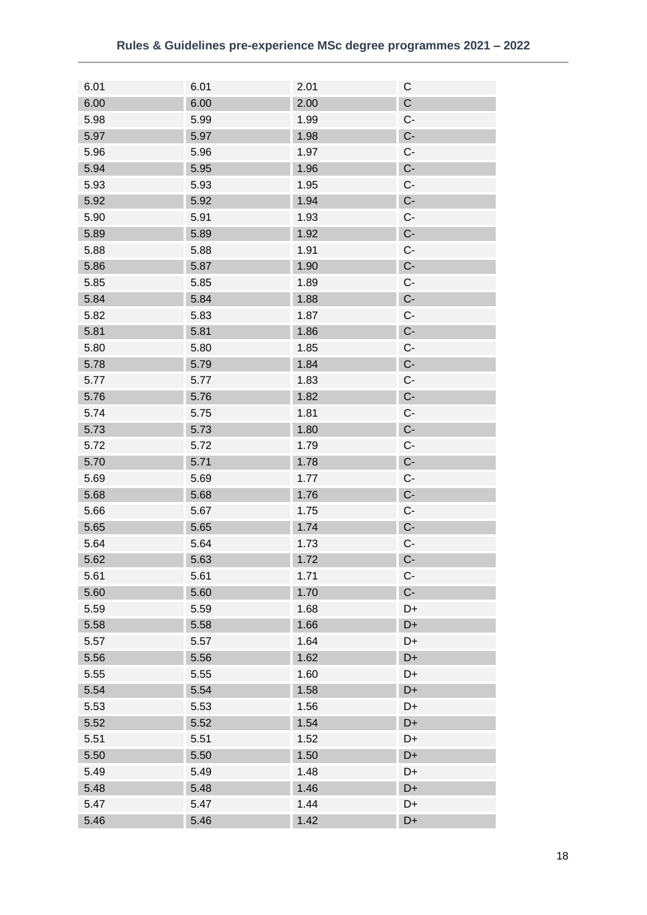| 6.01 | 6.01 | 2.01 | C           |
|------|------|------|-------------|
| 6.00 | 6.00 | 2.00 | $\mathsf C$ |
| 5.98 | 5.99 | 1.99 | $C -$       |
| 5.97 | 5.97 | 1.98 | $C -$       |
| 5.96 | 5.96 | 1.97 | $C -$       |
| 5.94 | 5.95 | 1.96 | $C -$       |
| 5.93 | 5.93 | 1.95 | $C -$       |
| 5.92 | 5.92 | 1.94 | $C -$       |
| 5.90 | 5.91 | 1.93 | $C -$       |
| 5.89 | 5.89 | 1.92 | $C -$       |
| 5.88 | 5.88 | 1.91 | $C -$       |
| 5.86 | 5.87 | 1.90 | $C -$       |
| 5.85 | 5.85 | 1.89 | $C -$       |
| 5.84 | 5.84 | 1.88 | $C -$       |
| 5.82 | 5.83 | 1.87 | $C -$       |
| 5.81 | 5.81 | 1.86 | $C -$       |
| 5.80 | 5.80 | 1.85 | $C -$       |
| 5.78 | 5.79 | 1.84 | $C -$       |
| 5.77 | 5.77 | 1.83 | $C -$       |
| 5.76 | 5.76 | 1.82 | $C -$       |
| 5.74 | 5.75 | 1.81 | $C -$       |
| 5.73 | 5.73 | 1.80 | $C -$       |
|      |      |      |             |
| 5.72 | 5.72 | 1.79 | $C -$       |
| 5.70 | 5.71 | 1.78 | $C -$       |
| 5.69 | 5.69 | 1.77 | $C -$       |
| 5.68 | 5.68 | 1.76 | $C -$       |
| 5.66 | 5.67 | 1.75 | $C -$       |
| 5.65 | 5.65 | 1.74 | $C -$       |
| 5.64 | 5.64 | 1.73 | C-          |
| 5.62 | 5.63 | 1.72 | $C -$       |
| 5.61 | 5.61 | 1.71 | $C -$       |
| 5.60 | 5.60 | 1.70 | $C -$       |
| 5.59 | 5.59 | 1.68 | D+          |
| 5.58 | 5.58 | 1.66 | D+          |
| 5.57 | 5.57 | 1.64 | D+          |
| 5.56 | 5.56 | 1.62 | D+          |
| 5.55 | 5.55 | 1.60 | D+          |
| 5.54 | 5.54 | 1.58 | D+          |
| 5.53 | 5.53 | 1.56 | D+          |
| 5.52 | 5.52 | 1.54 | D+          |
| 5.51 | 5.51 | 1.52 | D+          |
| 5.50 | 5.50 | 1.50 | D+          |
| 5.49 | 5.49 | 1.48 | D+          |
| 5.48 | 5.48 | 1.46 | D+          |
| 5.47 | 5.47 | 1.44 | D+          |
| 5.46 | 5.46 | 1.42 | D+          |